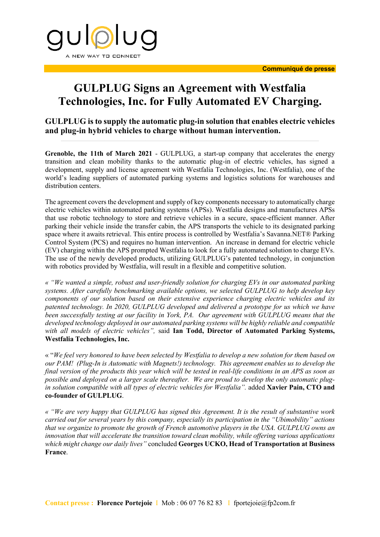

## **GULPLUG Signs an Agreement with Westfalia Technologies, Inc. for Fully Automated EV Charging.**

**GULPLUG is to supply the automatic plug-in solution that enables electric vehicles and plug-in hybrid vehicles to charge without human intervention.**

**Grenoble, the 11th of March 2021** - GULPLUG, a start-up company that accelerates the energy transition and clean mobility thanks to the automatic plug-in of electric vehicles, has signed a development, supply and license agreement with Westfalia Technologies, Inc. (Westfalia), one of the world's leading suppliers of automated parking systems and logistics solutions for warehouses and distribution centers.

The agreement covers the development and supply of key components necessary to automatically charge electric vehicles within automated parking systems (APSs). Westfalia designs and manufactures APSs that use robotic technology to store and retrieve vehicles in a secure, space-efficient manner. After parking their vehicle inside the transfer cabin, the APS transports the vehicle to its designated parking space where it awaits retrieval. This entire process is controlled by Westfalia's Savanna.NET® Parking Control System (PCS) and requires no human intervention. An increase in demand for electric vehicle (EV) charging within the APS prompted Westfalia to look for a fully automated solution to charge EVs. The use of the newly developed products, utilizing GULPLUG's patented technology, in conjunction with robotics provided by Westfalia, will result in a flexible and competitive solution.

*« "We wanted a simple, robust and user-friendly solution for charging EVs in our automated parking systems. After carefully benchmarking available options, we selected GULPLUG to help develop key components of our solution based on their extensive experience charging electric vehicles and its patented technology. In 2020, GULPLUG developed and delivered a prototype for us which we have been successfully testing at our facility in York, PA. Our agreement with GULPLUG means that the developed technology deployed in our automated parking systems will be highly reliable and compatible with all models of electric vehicles",* said **Ian Todd, Director of Automated Parking Systems, Westfalia Technologies, Inc.** 

« "*We feel very honored to have been selected by Westfalia to develop a new solution for them based on our PAM! (Plug-In is Automatic with Magnets!) technology. This agreement enables us to develop the final version of the products this year which will be tested in real-life conditions in an APS as soon as possible and deployed on a larger scale thereafter. We are proud to develop the only automatic plugin solution compatible with all types of electric vehicles for Westfalia".* added **Xavier Pain, CTO and co-founder of GULPLUG**.

*« "We are very happy that GULPLUG has signed this Agreement. It is the result of substantive work carried out for several years by this company, especially its participation in the "Ubimobility" actions that we organize to promote the growth of French automotive players in the USA. GULPLUG owns an innovation that will accelerate the transition toward clean mobility, while offering various applications which might change our daily lives"* concluded **Georges UCKO, Head of Transportation at Business France**.